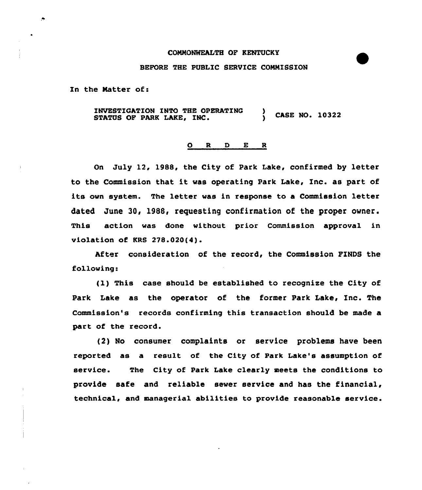## COMMONWEALTH OF KENTUCKY

## BEFORE THE PUBLIC SERVICE COMMISSION

In the Natter of:

 $\bullet$ 

INVESTIGATION INTO THE OPERATING ) CASE NO. 10322 STATUS OF PARK LAKE, INC.

## 0 R <sup>D</sup> E <sup>R</sup>

On July 12, 1988, the City of Park Lake, confirmed by letter to the Commission that it was operating Park Lake, Inc. as part of its own system. The letter was in response to a Commission letter dated June 30, 1988, requesting confirmation of the proper owner. This action was done without prior Commission approval in violation of KRS 278.020(4).

After consideration of the record, the Commission FINDS the following:

(1,) This case should be established to recognise the City of Park Lake as the operator of the former Park Lake, Inc. The Commission's records confirming this transaction should be made a part of the record.

(2) No consumer complaints or service problems have been reported as a result of the City of Park Lake's assumption of service. The City of Park Lake clearly meets the conditions to provide safe and reliable sewer service and has the financial, technical, and managerial abilities to provide reasonable service.